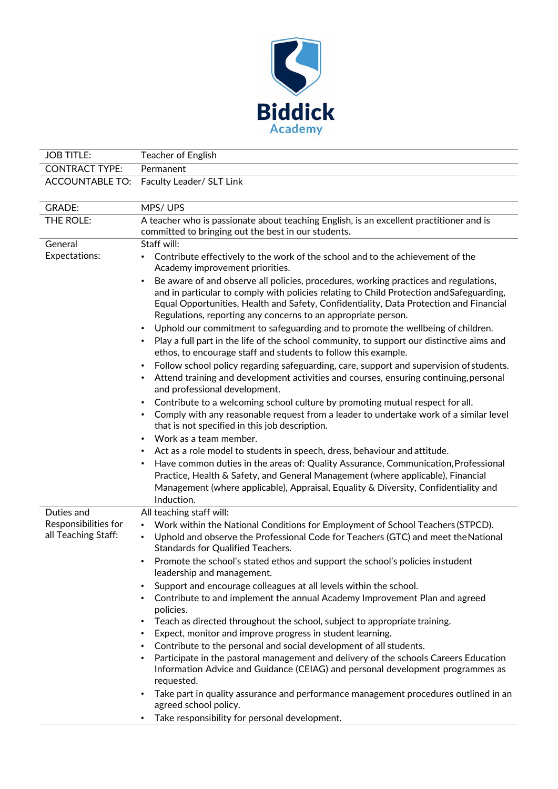

| <b>JOB TITLE:</b>                           | Teacher of English                                                                                                                                                                                                                                                                                                                                      |
|---------------------------------------------|---------------------------------------------------------------------------------------------------------------------------------------------------------------------------------------------------------------------------------------------------------------------------------------------------------------------------------------------------------|
| <b>CONTRACT TYPE:</b>                       | Permanent                                                                                                                                                                                                                                                                                                                                               |
| <b>ACCOUNTABLE TO:</b>                      | Faculty Leader/ SLT Link                                                                                                                                                                                                                                                                                                                                |
| <b>GRADE:</b>                               | MPS/UPS                                                                                                                                                                                                                                                                                                                                                 |
| THE ROLE:                                   | A teacher who is passionate about teaching English, is an excellent practitioner and is<br>committed to bringing out the best in our students.                                                                                                                                                                                                          |
| General                                     | Staff will:                                                                                                                                                                                                                                                                                                                                             |
| <b>Expectations:</b>                        | Contribute effectively to the work of the school and to the achievement of the<br>Academy improvement priorities.                                                                                                                                                                                                                                       |
|                                             | Be aware of and observe all policies, procedures, working practices and regulations,<br>and in particular to comply with policies relating to Child Protection and Safeguarding,<br>Equal Opportunities, Health and Safety, Confidentiality, Data Protection and Financial<br>Regulations, reporting any concerns to an appropriate person.             |
|                                             | Uphold our commitment to safeguarding and to promote the wellbeing of children.                                                                                                                                                                                                                                                                         |
|                                             | Play a full part in the life of the school community, to support our distinctive aims and<br>ethos, to encourage staff and students to follow this example.                                                                                                                                                                                             |
|                                             | Follow school policy regarding safeguarding, care, support and supervision of students.<br>Attend training and development activities and courses, ensuring continuing, personal<br>and professional development.                                                                                                                                       |
|                                             | Contribute to a welcoming school culture by promoting mutual respect for all.<br>Comply with any reasonable request from a leader to undertake work of a similar level<br>that is not specified in this job description.                                                                                                                                |
|                                             | Work as a team member.<br>$\bullet$                                                                                                                                                                                                                                                                                                                     |
|                                             | Act as a role model to students in speech, dress, behaviour and attitude.<br>Have common duties in the areas of: Quality Assurance, Communication, Professional<br>Practice, Health & Safety, and General Management (where applicable), Financial<br>Management (where applicable), Appraisal, Equality & Diversity, Confidentiality and<br>Induction. |
| Duties and                                  | All teaching staff will:                                                                                                                                                                                                                                                                                                                                |
| Responsibilities for<br>all Teaching Staff: | Work within the National Conditions for Employment of School Teachers (STPCD).<br>Uphold and observe the Professional Code for Teachers (GTC) and meet the National<br>Standards for Qualified Teachers.                                                                                                                                                |
|                                             | Promote the school's stated ethos and support the school's policies instudent<br>leadership and management.                                                                                                                                                                                                                                             |
|                                             | Support and encourage colleagues at all levels within the school.                                                                                                                                                                                                                                                                                       |
|                                             | Contribute to and implement the annual Academy Improvement Plan and agreed<br>policies.                                                                                                                                                                                                                                                                 |
|                                             | Teach as directed throughout the school, subject to appropriate training.                                                                                                                                                                                                                                                                               |
|                                             | Expect, monitor and improve progress in student learning.                                                                                                                                                                                                                                                                                               |
|                                             | Contribute to the personal and social development of all students.<br>$\bullet$                                                                                                                                                                                                                                                                         |
|                                             | Participate in the pastoral management and delivery of the schools Careers Education<br>$\bullet$<br>Information Advice and Guidance (CEIAG) and personal development programmes as<br>requested.                                                                                                                                                       |
|                                             | Take part in quality assurance and performance management procedures outlined in an<br>agreed school policy.                                                                                                                                                                                                                                            |
|                                             | Take responsibility for personal development.                                                                                                                                                                                                                                                                                                           |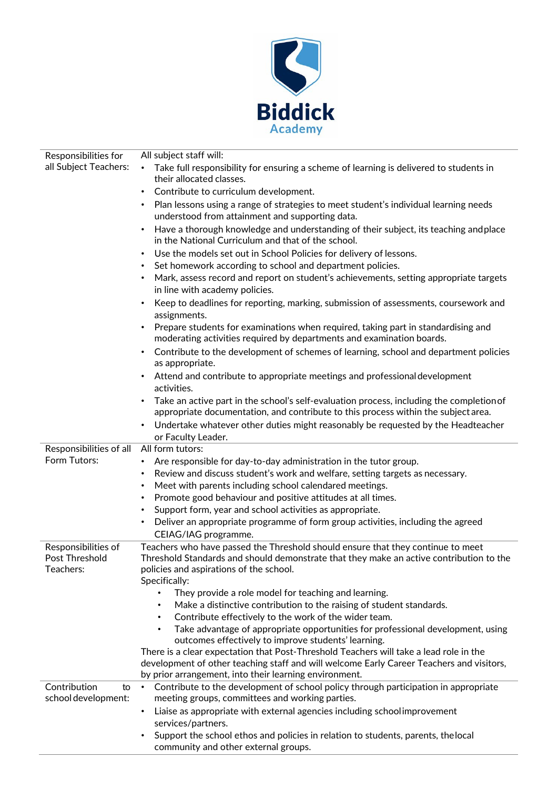

| Responsibilities for                      | All subject staff will:                                                                                                                                                                     |
|-------------------------------------------|---------------------------------------------------------------------------------------------------------------------------------------------------------------------------------------------|
| all Subject Teachers:                     | Take full responsibility for ensuring a scheme of learning is delivered to students in<br>٠<br>their allocated classes.                                                                     |
|                                           | Contribute to curriculum development.<br>$\bullet$                                                                                                                                          |
|                                           | Plan lessons using a range of strategies to meet student's individual learning needs<br>understood from attainment and supporting data.                                                     |
|                                           | Have a thorough knowledge and understanding of their subject, its teaching and place<br>in the National Curriculum and that of the school.                                                  |
|                                           | Use the models set out in School Policies for delivery of lessons.<br>٠                                                                                                                     |
|                                           | Set homework according to school and department policies.<br>٠                                                                                                                              |
|                                           | Mark, assess record and report on student's achievements, setting appropriate targets<br>in line with academy policies.                                                                     |
|                                           | Keep to deadlines for reporting, marking, submission of assessments, coursework and<br>assignments.                                                                                         |
|                                           | Prepare students for examinations when required, taking part in standardising and<br>moderating activities required by departments and examination boards.                                  |
|                                           | Contribute to the development of schemes of learning, school and department policies<br>as appropriate.                                                                                     |
|                                           | Attend and contribute to appropriate meetings and professional development<br>activities.                                                                                                   |
|                                           | Take an active part in the school's self-evaluation process, including the completion of<br>$\bullet$<br>appropriate documentation, and contribute to this process within the subject area. |
|                                           | Undertake whatever other duties might reasonably be requested by the Headteacher<br>or Faculty Leader.                                                                                      |
| Responsibilities of all                   | All form tutors:                                                                                                                                                                            |
| Form Tutors:                              | Are responsible for day-to-day administration in the tutor group.<br>$\bullet$                                                                                                              |
|                                           | Review and discuss student's work and welfare, setting targets as necessary.<br>٠                                                                                                           |
|                                           | Meet with parents including school calendared meetings.<br>٠                                                                                                                                |
|                                           | Promote good behaviour and positive attitudes at all times.<br>٠                                                                                                                            |
|                                           | Support form, year and school activities as appropriate.<br>٠                                                                                                                               |
|                                           | Deliver an appropriate programme of form group activities, including the agreed<br>٠<br>CEIAG/IAG programme.                                                                                |
| Responsibilities of                       | Teachers who have passed the Threshold should ensure that they continue to meet                                                                                                             |
| Post Threshold<br>Teachers:               | Threshold Standards and should demonstrate that they make an active contribution to the<br>policies and aspirations of the school.<br>Specifically:                                         |
|                                           | They provide a role model for teaching and learning.                                                                                                                                        |
|                                           | Make a distinctive contribution to the raising of student standards.                                                                                                                        |
|                                           | Contribute effectively to the work of the wider team.<br>$\bullet$                                                                                                                          |
|                                           | Take advantage of appropriate opportunities for professional development, using<br>$\bullet$                                                                                                |
|                                           | outcomes effectively to improve students' learning.                                                                                                                                         |
|                                           | There is a clear expectation that Post-Threshold Teachers will take a lead role in the                                                                                                      |
|                                           | development of other teaching staff and will welcome Early Career Teachers and visitors,                                                                                                    |
|                                           | by prior arrangement, into their learning environment.                                                                                                                                      |
| Contribution<br>to<br>school development: | Contribute to the development of school policy through participation in appropriate<br>$\bullet$<br>meeting groups, committees and working parties.                                         |
|                                           | Liaise as appropriate with external agencies including schoolimprovement<br>services/partners.                                                                                              |
|                                           | Support the school ethos and policies in relation to students, parents, the local<br>community and other external groups.                                                                   |